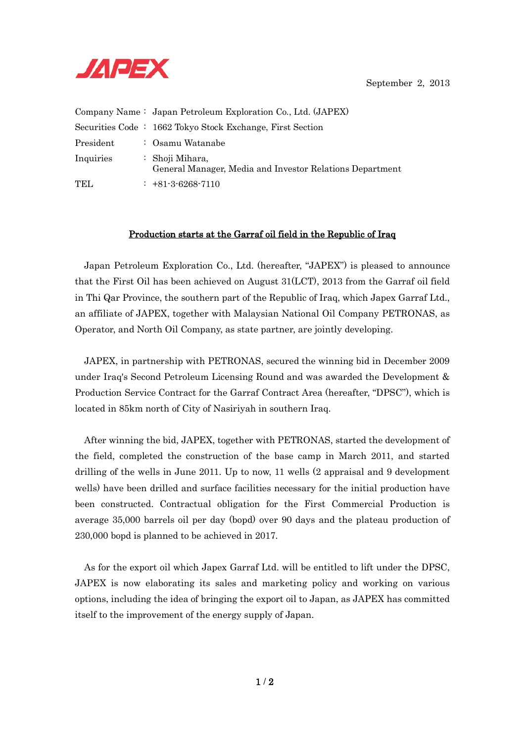

September 2, 2013

|            | Company Name: Japan Petroleum Exploration Co., Ltd. (JAPEX)                 |
|------------|-----------------------------------------------------------------------------|
|            | Securities Code : 1662 Tokyo Stock Exchange, First Section                  |
| President  | : Osamu Watanabe                                                            |
| Inquiries  | : Shoji Mihara,<br>General Manager, Media and Investor Relations Department |
| <b>TEL</b> | $: +81-3-6268-7110$                                                         |

## Production starts at the Garraf oil field in the Republic of Iraq

Japan Petroleum Exploration Co., Ltd. (hereafter, "JAPEX") is pleased to announce that the First Oil has been achieved on August 31(LCT), 2013 from the Garraf oil field in Thi Qar Province, the southern part of the Republic of Iraq, which Japex Garraf Ltd., an affiliate of JAPEX, together with Malaysian National Oil Company PETRONAS, as Operator, and North Oil Company, as state partner, are jointly developing.

JAPEX, in partnership with PETRONAS, secured the winning bid in December 2009 under Iraq's Second Petroleum Licensing Round and was awarded the Development & Production Service Contract for the Garraf Contract Area (hereafter, "DPSC"), which is located in 85km north of City of Nasiriyah in southern Iraq.

After winning the bid, JAPEX, together with PETRONAS, started the development of the field, completed the construction of the base camp in March 2011, and started drilling of the wells in June 2011. Up to now, 11 wells (2 appraisal and 9 development wells) have been drilled and surface facilities necessary for the initial production have been constructed. Contractual obligation for the First Commercial Production is average 35,000 barrels oil per day (bopd) over 90 days and the plateau production of 230,000 bopd is planned to be achieved in 2017.

As for the export oil which Japex Garraf Ltd. will be entitled to lift under the DPSC, JAPEX is now elaborating its sales and marketing policy and working on various options, including the idea of bringing the export oil to Japan, as JAPEX has committed itself to the improvement of the energy supply of Japan.